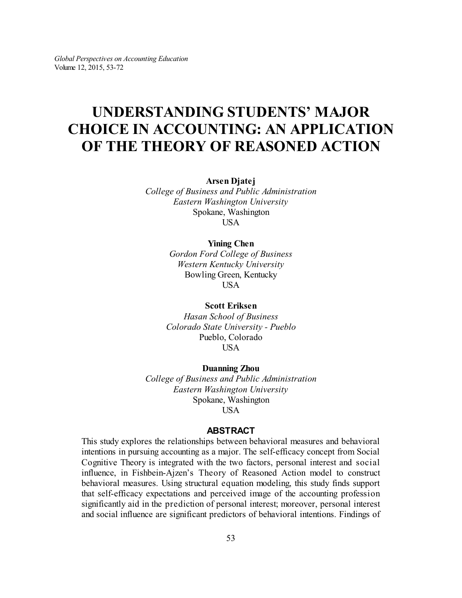# **UNDERSTANDING STUDENTS' MAJOR CHOICE IN ACCOUNTING: AN APPLICATION OF THE THEORY OF REASONED ACTION**

**Arsen Djatej**

*College of Business and Public Administration Eastern Washington University* Spokane, Washington USA

#### **Yining Chen**

*Gordon Ford College of Business Western Kentucky University* Bowling Green, Kentucky **USA** 

**Scott Eriksen**

*Hasan School of Business Colorado State University - Pueblo* Pueblo, Colorado USA

#### **Duanning Zhou**

*College of Business and Public Administration Eastern Washington University* Spokane, Washington USA

#### **ABSTRACT**

This study explores the relationships between behavioral measures and behavioral intentions in pursuing accounting as a major. The self-efficacy concept from Social Cognitive Theory is integrated with the two factors, personal interest and social influence, in Fishbein-Ajzen's Theory of Reasoned Action model to construct behavioral measures. Using structural equation modeling, this study finds support that self-efficacy expectations and perceived image of the accounting profession significantly aid in the prediction of personal interest; moreover, personal interest and social influence are significant predictors of behavioral intentions. Findings of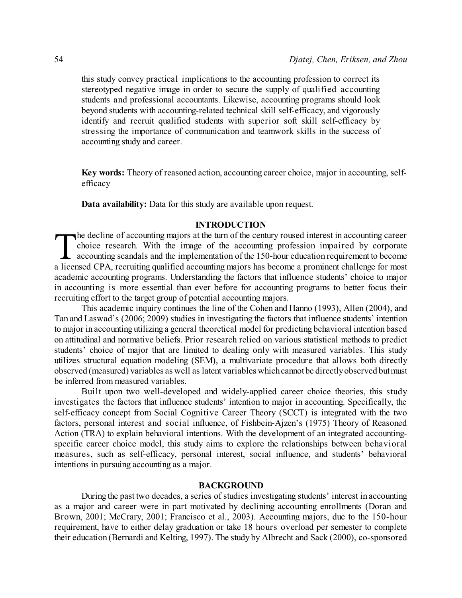this study convey practical implications to the accounting profession to correct its stereotyped negative image in order to secure the supply of qualified accounting students and professional accountants. Likewise, accounting programs should look beyond students with accounting-related technical skill self-efficacy, and vigorously identify and recruit qualified students with superior soft skill self-efficacy by stressing the importance of communication and teamwork skills in the success of accounting study and career.

**Key words:** Theory of reasoned action, accounting career choice, major in accounting, selfefficacy

**Data availability:** Data for this study are available upon request.

#### **INTRODUCTION**

The decline of accounting majors at the turn of the century roused interest in accounting career<br>choice research. With the image of the accounting profession impaired by corporate<br>accounting scandals and the implementation choice research. With the image of the accounting profession impaired by corporate accounting scandals and the implementation of the 150-hour education requirement to become a licensed CPA, recruiting qualified accounting majors has become a prominent challenge for most academic accounting programs. Understanding the factors that influence students' choice to major in accounting is more essential than ever before for accounting programs to better focus their recruiting effort to the target group of potential accounting majors.

This academic inquiry continues the line of the Cohen and Hanno (1993), Allen (2004), and Tan and Laswad's (2006; 2009) studies in investigating the factors that influence students' intention to major in accounting utilizing a general theoretical model for predicting behavioral intention based on attitudinal and normative beliefs. Prior research relied on various statistical methods to predict students' choice of major that are limited to dealing only with measured variables. This study utilizes structural equation modeling (SEM), a multivariate procedure that allows both directly observed (measured) variables as well as latent variables whichcannotbe directlyobserved butmust be inferred from measured variables.

Built upon two well-developed and widely-applied career choice theories, this study investigates the factors that influence students' intention to major in accounting. Specifically, the self-efficacy concept from Social Cognitive Career Theory (SCCT) is integrated with the two factors, personal interest and social influence, of Fishbein-Ajzen's (1975) Theory of Reasoned Action (TRA) to explain behavioral intentions. With the development of an integrated accountingspecific career choice model, this study aims to explore the relationships between behavioral measures, such as self-efficacy, personal interest, social influence, and students' behavioral intentions in pursuing accounting as a major.

#### **BACKGROUND**

During the past two decades, a series of studies investigating students' interest in accounting as a major and career were in part motivated by declining accounting enrollments (Doran and Brown, 2001; McCrary, 2001; Francisco et al., 2003). Accounting majors, due to the 150-hour requirement, have to either delay graduation or take 18 hours overload per semester to complete their education (Bernardi and Kelting, 1997). The study by Albrecht and Sack (2000), co-sponsored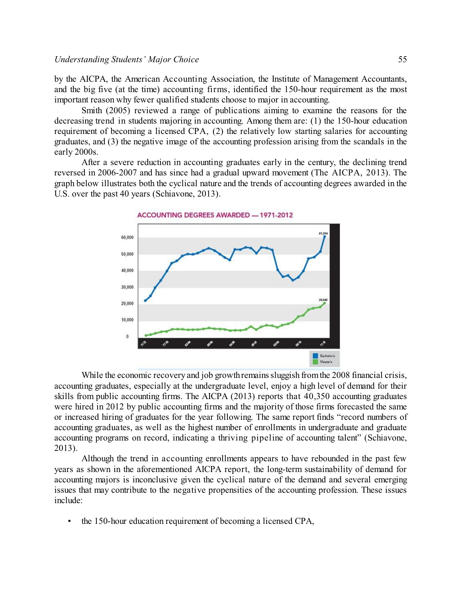#### *Understanding Students' Major Choice* 55

by the AICPA, the American Accounting Association, the Institute of Management Accountants, and the big five (at the time) accounting firms, identified the 150-hour requirement as the most important reason why fewer qualified students choose to major in accounting.

Smith (2005) reviewed a range of publications aiming to examine the reasons for the decreasing trend in students majoring in accounting. Among them are: (1) the 150-hour education requirement of becoming a licensed CPA, (2) the relatively low starting salaries for accounting graduates, and (3) the negative image of the accounting profession arising from the scandals in the early 2000s.

After a severe reduction in accounting graduates early in the century, the declining trend reversed in 2006-2007 and has since had a gradual upward movement (The AICPA, 2013). The graph below illustrates both the cyclical nature and the trends of accounting degrees awarded in the U.S. over the past 40 years (Schiavone, 2013).



While the economic recovery and job growth remains sluggish from the 2008 financial crisis, accounting graduates, especially at the undergraduate level, enjoy a high level of demand for their skills from public accounting firms. The AICPA (2013) reports that 40,350 accounting graduates were hired in 2012 by public accounting firms and the majority of those firms forecasted the same or increased hiring of graduates for the year following. The same report finds "record numbers of accounting graduates, as well as the highest number of enrollments in undergraduate and graduate accounting programs on record, indicating a thriving pipeline of accounting talent" (Schiavone, 2013).

Although the trend in accounting enrollments appears to have rebounded in the past few years as shown in the aforementioned AICPA report, the long-term sustainability of demand for accounting majors is inconclusive given the cyclical nature of the demand and several emerging issues that may contribute to the negative propensities of the accounting profession. These issues include:

• the 150-hour education requirement of becoming a licensed CPA,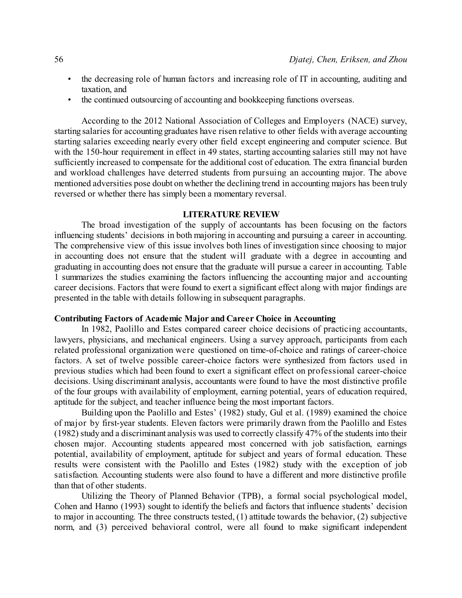- the decreasing role of human factors and increasing role of IT in accounting, auditing and taxation, and
- the continued outsourcing of accounting and bookkeeping functions overseas.

According to the 2012 National Association of Colleges and Employers (NACE) survey, starting salaries for accounting graduates have risen relative to other fields with average accounting starting salaries exceeding nearly every other field except engineering and computer science. But with the 150-hour requirement in effect in 49 states, starting accounting salaries still may not have sufficiently increased to compensate for the additional cost of education. The extra financial burden and workload challenges have deterred students from pursuing an accounting major. The above mentioned adversities pose doubt on whether the declining trend in accounting majors has been truly reversed or whether there has simply been a momentary reversal.

#### **LITERATURE REVIEW**

The broad investigation of the supply of accountants has been focusing on the factors influencing students' decisions in both majoring in accounting and pursuing a career in accounting. The comprehensive view of this issue involves both lines of investigation since choosing to major in accounting does not ensure that the student will graduate with a degree in accounting and graduating in accounting does not ensure that the graduate will pursue a career in accounting. Table 1 summarizes the studies examining the factors influencing the accounting major and accounting career decisions. Factors that were found to exert a significant effect along with major findings are presented in the table with details following in subsequent paragraphs.

### **Contributing Factors of Academic Major and Career Choice in Accounting**

In 1982, Paolillo and Estes compared career choice decisions of practicing accountants, lawyers, physicians, and mechanical engineers. Using a survey approach, participants from each related professional organization were questioned on time-of-choice and ratings of career-choice factors. A set of twelve possible career-choice factors were synthesized from factors used in previous studies which had been found to exert a significant effect on professional career-choice decisions. Using discriminant analysis, accountants were found to have the most distinctive profile of the four groups with availability of employment, earning potential, years of education required, aptitude for the subject, and teacher influence being the most important factors.

Building upon the Paolillo and Estes' (1982) study, Gul et al. (1989) examined the choice of major by first-year students. Eleven factors were primarily drawn from the Paolillo and Estes (1982) study and a discriminant analysis was used to correctly classify 47% of the students into their chosen major. Accounting students appeared most concerned with job satisfaction, earnings potential, availability of employment, aptitude for subject and years of formal education. These results were consistent with the Paolillo and Estes (1982) study with the exception of job satisfaction. Accounting students were also found to have a different and more distinctive profile than that of other students.

Utilizing the Theory of Planned Behavior (TPB), a formal social psychological model, Cohen and Hanno (1993) sought to identify the beliefs and factors that influence students' decision to major in accounting. The three constructs tested, (1) attitude towards the behavior, (2) subjective norm, and (3) perceived behavioral control, were all found to make significant independent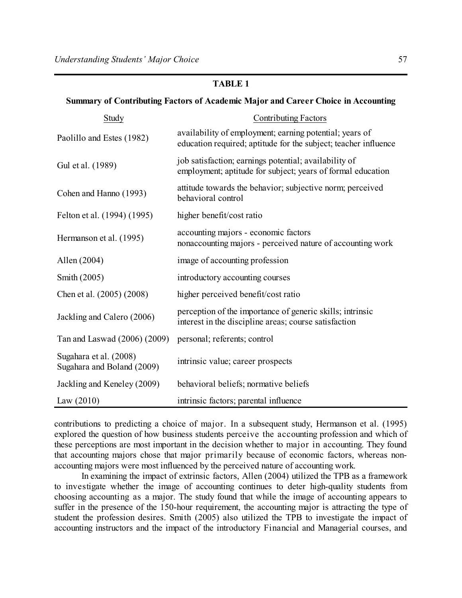# **TABLE 1**

#### **Summary of Contributing Factors of Academic Major and Career Choice in Accounting**

| Study                                                | <b>Contributing Factors</b>                                                                                                |  |  |  |
|------------------------------------------------------|----------------------------------------------------------------------------------------------------------------------------|--|--|--|
| Paolillo and Estes (1982)                            | availability of employment; earning potential; years of<br>education required; aptitude for the subject; teacher influence |  |  |  |
| Gul et al. (1989)                                    | job satisfaction; earnings potential; availability of<br>employment; aptitude for subject; years of formal education       |  |  |  |
| Cohen and Hanno (1993)                               | attitude towards the behavior; subjective norm; perceived<br>behavioral control                                            |  |  |  |
| Felton et al. (1994) (1995)                          | higher benefit/cost ratio                                                                                                  |  |  |  |
| Hermanson et al. (1995)                              | accounting majors - economic factors<br>nonaccounting majors - perceived nature of accounting work                         |  |  |  |
| Allen (2004)                                         | image of accounting profession                                                                                             |  |  |  |
| Smith (2005)                                         | introductory accounting courses                                                                                            |  |  |  |
| Chen et al. (2005) (2008)                            | higher perceived benefit/cost ratio                                                                                        |  |  |  |
| Jackling and Calero (2006)                           | perception of the importance of generic skills; intrinsic<br>interest in the discipline areas; course satisfaction         |  |  |  |
| Tan and Laswad (2006) (2009)                         | personal; referents; control                                                                                               |  |  |  |
| Sugahara et al. (2008)<br>Sugahara and Boland (2009) | intrinsic value; career prospects                                                                                          |  |  |  |
| Jackling and Keneley (2009)                          | behavioral beliefs; normative beliefs                                                                                      |  |  |  |
| Law $(2010)$                                         | intrinsic factors; parental influence                                                                                      |  |  |  |

contributions to predicting a choice of major. In a subsequent study, Hermanson et al. (1995) explored the question of how business students perceive the accounting profession and which of these perceptions are most important in the decision whether to major in accounting. They found that accounting majors chose that major primarily because of economic factors, whereas nonaccounting majors were most influenced by the perceived nature of accounting work.

In examining the impact of extrinsic factors, Allen (2004) utilized the TPB as a framework to investigate whether the image of accounting continues to deter high-quality students from choosing accounting as a major. The study found that while the image of accounting appears to suffer in the presence of the 150-hour requirement, the accounting major is attracting the type of student the profession desires. Smith (2005) also utilized the TPB to investigate the impact of accounting instructors and the impact of the introductory Financial and Managerial courses, and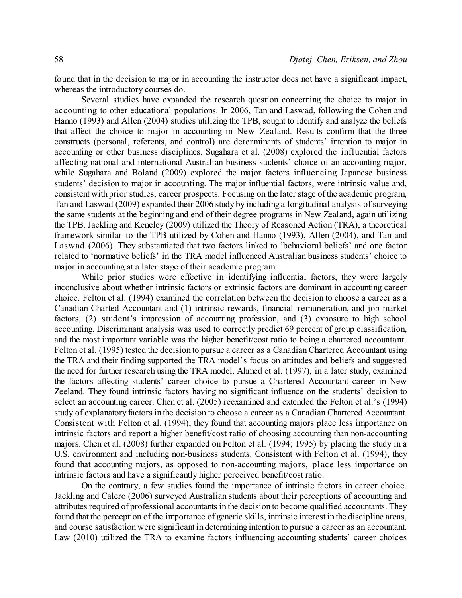found that in the decision to major in accounting the instructor does not have a significant impact, whereas the introductory courses do.

Several studies have expanded the research question concerning the choice to major in accounting to other educational populations. In 2006, Tan and Laswad, following the Cohen and Hanno (1993) and Allen (2004) studies utilizing the TPB, sought to identify and analyze the beliefs that affect the choice to major in accounting in New Zealand. Results confirm that the three constructs (personal, referents, and control) are determinants of students' intention to major in accounting or other business disciplines. Sugahara et al. (2008) explored the influential factors affecting national and international Australian business students' choice of an accounting major, while Sugahara and Boland (2009) explored the major factors influencing Japanese business students' decision to major in accounting. The major influential factors, were intrinsic value and, consistent with prior studies, career prospects. Focusing on the later stage of the academic program, Tan and Laswad (2009) expanded their 2006 study by including a longitudinal analysis of surveying the same students at the beginning and end of their degree programs in New Zealand, again utilizing the TPB. Jackling and Keneley (2009) utilized the Theory of Reasoned Action (TRA), a theoretical framework similar to the TPB utilized by Cohen and Hanno (1993), Allen (2004), and Tan and Laswad (2006). They substantiated that two factors linked to 'behavioral beliefs' and one factor related to 'normative beliefs' in the TRA model influenced Australian business students' choice to major in accounting at a later stage of their academic program.

While prior studies were effective in identifying influential factors, they were largely inconclusive about whether intrinsic factors or extrinsic factors are dominant in accounting career choice. Felton et al. (1994) examined the correlation between the decision to choose a career as a Canadian Charted Accountant and (1) intrinsic rewards, financial remuneration, and job market factors, (2) student's impression of accounting profession, and (3) exposure to high school accounting. Discriminant analysis was used to correctly predict 69 percent of group classification, and the most important variable was the higher benefit/cost ratio to being a chartered accountant. Felton et al. (1995) tested the decision to pursue a career as a Canadian Chartered Accountant using the TRA and their finding supported the TRA model's focus on attitudes and beliefs and suggested the need for further research using the TRA model. Ahmed et al. (1997), in a later study, examined the factors affecting students' career choice to pursue a Chartered Accountant career in New Zeeland. They found intrinsic factors having no significant influence on the students' decision to select an accounting career. Chen et al. (2005) reexamined and extended the Felton et al.'s (1994) study of explanatory factors in the decision to choose a career as a Canadian Chartered Accountant. Consistent with Felton et al. (1994), they found that accounting majors place less importance on intrinsic factors and report a higher benefit/cost ratio of choosing accounting than non-accounting majors. Chen et al. (2008) further expanded on Felton et al. (1994; 1995) by placing the study in a U.S. environment and including non-business students. Consistent with Felton et al. (1994), they found that accounting majors, as opposed to non-accounting majors, place less importance on intrinsic factors and have a significantly higher perceived benefit/cost ratio.

On the contrary, a few studies found the importance of intrinsic factors in career choice. Jackling and Calero (2006) surveyed Australian students about their perceptions of accounting and attributes required of professional accountants in the decision to become qualified accountants. They found that the perception of the importance of generic skills, intrinsic interest in the discipline areas, and course satisfaction were significant in determining intention to pursue a career as an accountant. Law (2010) utilized the TRA to examine factors influencing accounting students' career choices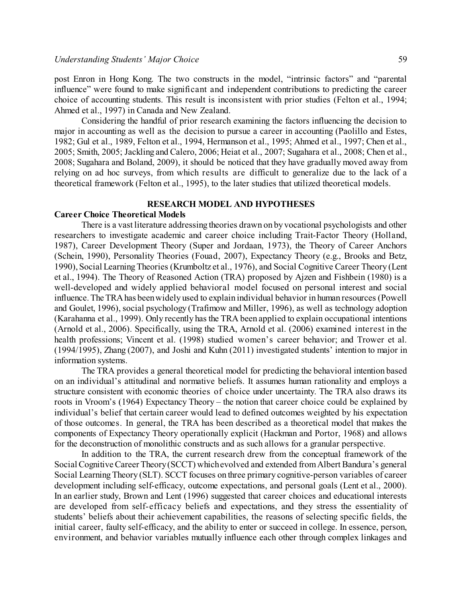post Enron in Hong Kong. The two constructs in the model, "intrinsic factors" and "parental influence" were found to make significant and independent contributions to predicting the career choice of accounting students. This result is inconsistent with prior studies (Felton et al., 1994; Ahmed et al., 1997) in Canada and New Zealand.

Considering the handful of prior research examining the factors influencing the decision to major in accounting as well as the decision to pursue a career in accounting (Paolillo and Estes, 1982; Gul et al., 1989, Felton et al., 1994, Hermanson et al., 1995; Ahmed et al., 1997; Chen et al., 2005; Smith, 2005; Jackling and Calero, 2006; Heiat et al., 2007; Sugahara et al., 2008; Chen et al., 2008; Sugahara and Boland, 2009), it should be noticed that they have gradually moved away from relying on ad hoc surveys, from which results are difficult to generalize due to the lack of a theoretical framework (Felton et al., 1995), to the later studies that utilized theoretical models.

### **RESEARCH MODEL AND HYPOTHESES**

#### **Career Choice Theoretical Models**

There is a vast literature addressing theories drawn on by vocational psychologists and other researchers to investigate academic and career choice including Trait-Factor Theory (Holland, 1987), Career Development Theory (Super and Jordaan, 1973), the Theory of Career Anchors (Schein, 1990), Personality Theories (Fouad, 2007), Expectancy Theory (e.g., Brooks and Betz, 1990), Social LearningTheories (Krumboltz et al., 1976), and Social Cognitive Career Theory (Lent et al., 1994). The Theory of Reasoned Action (TRA) proposed by Ajzen and Fishbein (1980) is a well-developed and widely applied behavioral model focused on personal interest and social influence. The TRAhas beenwidely used to explain individual behavior in human resources (Powell and Goulet, 1996), social psychology (Trafimow and Miller, 1996), as well as technology adoption (Karahanna et al., 1999). Only recently has the TRA been applied to explain occupational intentions (Arnold et al., 2006). Specifically, using the TRA, Arnold et al. (2006) examined interest in the health professions; Vincent et al. (1998) studied women's career behavior; and Trower et al. (1994/1995), Zhang (2007), and Joshi and Kuhn (2011) investigated students' intention to major in information systems.

The TRA provides a general theoretical model for predicting the behavioral intention based on an individual's attitudinal and normative beliefs. It assumes human rationality and employs a structure consistent with economic theories of choice under uncertainty. The TRA also draws its roots in Vroom's (1964) Expectancy Theory – the notion that career choice could be explained by individual's belief that certain career would lead to defined outcomes weighted by his expectation of those outcomes. In general, the TRA has been described as a theoretical model that makes the components of Expectancy Theory operationally explicit (Hackman and Portor, 1968) and allows for the deconstruction of monolithic constructs and as such allows for a granular perspective.

In addition to the TRA, the current research drew from the conceptual framework of the Social Cognitive Career Theory (SCCT) which evolved and extended from Albert Bandura's general Social LearningTheory (SLT). SCCT focuses on three primary cognitive-person variables of career development including self-efficacy, outcome expectations, and personal goals (Lent et al., 2000). In an earlier study, Brown and Lent (1996) suggested that career choices and educational interests are developed from self-efficacy beliefs and expectations, and they stress the essentiality of students' beliefs about their achievement capabilities, the reasons of selecting specific fields, the initial career, faulty self-efficacy, and the ability to enter or succeed in college. In essence, person, environment, and behavior variables mutually influence each other through complex linkages and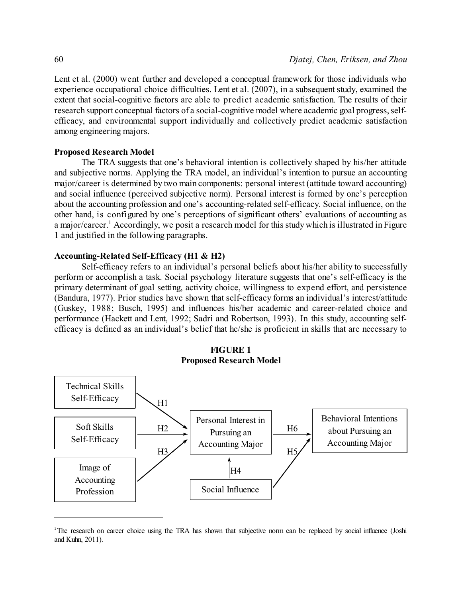Lent et al. (2000) went further and developed a conceptual framework for those individuals who experience occupational choice difficulties. Lent et al. (2007), in a subsequent study, examined the extent that social-cognitive factors are able to predict academic satisfaction. The results of their research support conceptual factors of a social-cognitive model where academic goal progress, selfefficacy, and environmental support individually and collectively predict academic satisfaction among engineering majors.

#### **Proposed Research Model**

The TRA suggests that one's behavioral intention is collectively shaped by his/her attitude and subjective norms. Applying the TRA model, an individual's intention to pursue an accounting major/career is determined by two main components: personal interest (attitude toward accounting) and social influence (perceived subjective norm). Personal interest is formed by one's perception about the accounting profession and one's accounting-related self-efficacy. Social influence, on the other hand, is configured by one's perceptions of significant others' evaluations of accounting as a major/career.<sup>1</sup> Accordingly, we posit a research model for this study which is illustrated in Figure 1 and justified in the following paragraphs.

#### **Accounting-Related Self-Efficacy (H1 & H2)**

Self-efficacy refers to an individual's personal beliefs about his/her ability to successfully perform or accomplish a task. Social psychology literature suggests that one's self-efficacy is the primary determinant of goal setting, activity choice, willingness to expend effort, and persistence (Bandura, 1977). Prior studies have shown that self-efficacy forms an individual's interest/attitude (Guskey, 1988; Busch, 1995) and influences his/her academic and career-related choice and performance (Hackett and Lent, 1992; Sadri and Robertson, 1993). In this study, accounting selfefficacy is defined as an individual's belief that he/she is proficient in skills that are necessary to





<sup>1</sup>The research on career choice using the TRA has shown that subjective norm can be replaced by social influence (Joshi and Kuhn, 2011).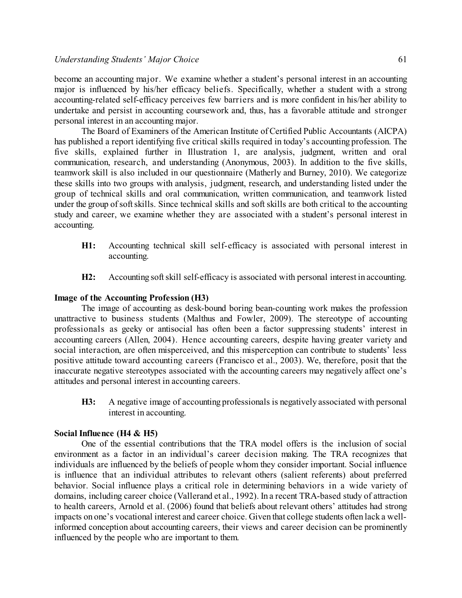become an accounting major. We examine whether a student's personal interest in an accounting major is influenced by his/her efficacy beliefs. Specifically, whether a student with a strong accounting-related self-efficacy perceives few barriers and is more confident in his/her ability to undertake and persist in accounting coursework and, thus, has a favorable attitude and stronger personal interest in an accounting major.

The Board of Examiners of the American Institute of Certified Public Accountants (AICPA) has published a report identifying five critical skills required in today's accounting profession. The five skills, explained further in Illustration 1, are analysis, judgment, written and oral communication, research, and understanding (Anonymous, 2003). In addition to the five skills, teamwork skill is also included in our questionnaire (Matherly and Burney, 2010). We categorize these skills into two groups with analysis, judgment, research, and understanding listed under the group of technical skills and oral communication, written communication, and teamwork listed under the group of soft skills. Since technical skills and soft skills are both critical to the accounting study and career, we examine whether they are associated with a student's personal interest in accounting.

- **H1:** Accounting technical skill self-efficacy is associated with personal interest in accounting.
- **H2:** Accounting softskill self-efficacy is associated with personal interest in accounting.

#### **Image of the Accounting Profession (H3)**

The image of accounting as desk-bound boring bean-counting work makes the profession unattractive to business students (Malthus and Fowler, 2009). The stereotype of accounting professionals as geeky or antisocial has often been a factor suppressing students' interest in accounting careers (Allen, 2004). Hence accounting careers, despite having greater variety and social interaction, are often misperceived, and this misperception can contribute to students' less positive attitude toward accounting careers (Francisco et al., 2003). We, therefore, posit that the inaccurate negative stereotypes associated with the accounting careers may negatively affect one's attitudes and personal interest in accounting careers.

**H3:** A negative image of accounting professionals is negatively associated with personal interest in accounting.

#### **Social Influence (H4 & H5)**

One of the essential contributions that the TRA model offers is the inclusion of social environment as a factor in an individual's career decision making. The TRA recognizes that individuals are influenced by the beliefs of people whom they consider important. Social influence is influence that an individual attributes to relevant others (salient referents) about preferred behavior. Social influence plays a critical role in determining behaviors in a wide variety of domains, including career choice (Vallerand et al., 1992). In a recent TRA-based study of attraction to health careers, Arnold et al. (2006) found that beliefs about relevant others' attitudes had strong impacts on one's vocational interest and career choice. Given that college students often lack a wellinformed conception about accounting careers, their views and career decision can be prominently influenced by the people who are important to them.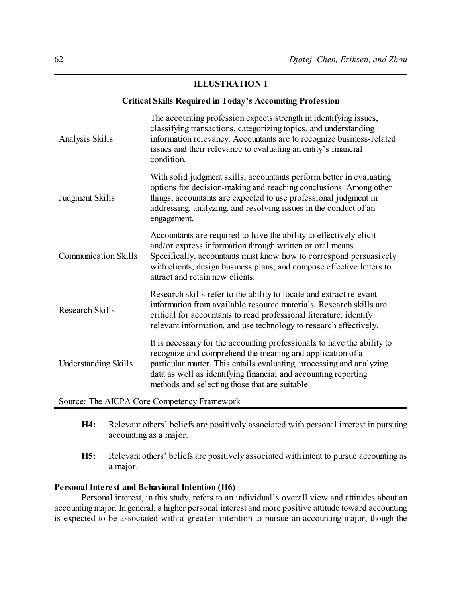# **ILLUSTRATION 1**

#### **Critical Skills Required in Today's Accounting Profession**

| Analysis Skills                               | The accounting profession expects strength in identifying issues,<br>classifying transactions, categorizing topics, and understanding<br>information relevancy. Accountants are to recognize business-related<br>issues and their relevance to evaluating an entity's financial<br>condition.                                    |  |  |  |  |
|-----------------------------------------------|----------------------------------------------------------------------------------------------------------------------------------------------------------------------------------------------------------------------------------------------------------------------------------------------------------------------------------|--|--|--|--|
| Judgment Skills                               | With solid judgment skills, accountants perform better in evaluating<br>options for decision-making and reaching conclusions. Among other<br>things, accountants are expected to use professional judgment in<br>addressing, analyzing, and resolving issues in the conduct of an<br>engagement.                                 |  |  |  |  |
| <b>Communication Skills</b>                   | Accountants are required to have the ability to effectively elicit<br>and/or express information through written or oral means.<br>Specifically, accountants must know how to correspond persuasively<br>with clients, design business plans, and compose effective letters to<br>attract and retain new clients.                |  |  |  |  |
| <b>Research Skills</b>                        | Research skills refer to the ability to locate and extract relevant<br>information from available resource materials. Research skills are<br>critical for accountants to read professional literature, identify<br>relevant information, and use technology to research effectively.                                             |  |  |  |  |
| <b>Understanding Skills</b>                   | It is necessary for the accounting professionals to have the ability to<br>recognize and comprehend the meaning and application of a<br>particular matter. This entails evaluating, processing and analyzing<br>data as well as identifying financial and accounting reporting<br>methods and selecting those that are suitable. |  |  |  |  |
| $Source: The AICDA Core Components Framework$ |                                                                                                                                                                                                                                                                                                                                  |  |  |  |  |

Source: The AICPA Core Competency Framework

- **H4:** Relevant others' beliefs are positively associated with personal interest in pursuing accounting as a major.
- **H5:** Relevant others' beliefs are positively associated with intent to pursue accounting as a major.

# **Personal Interest and Behavioral Intention (H6)**

Personal interest, in this study, refers to an individual's overall view and attitudes about an accounting major. In general, a higher personal interest and more positive attitude toward accounting is expected to be associated with a greater intention to pursue an accounting major, though the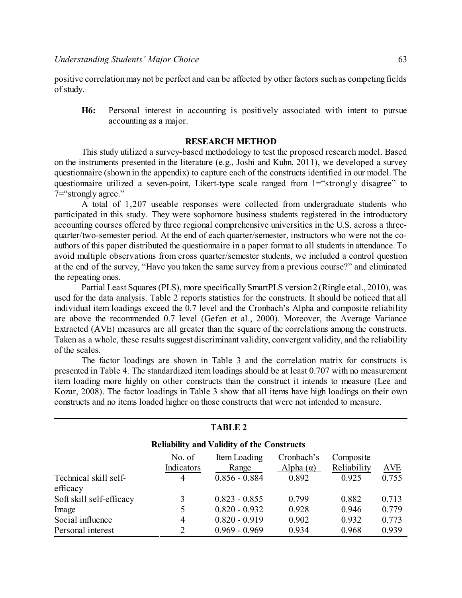positive correlationmay not be perfect and can be affected by other factors such as competing fields of study.

**H6:** Personal interest in accounting is positively associated with intent to pursue accounting as a major.

#### **RESEARCH METHOD**

This study utilized a survey-based methodology to test the proposed research model. Based on the instruments presented in the literature (e.g., Joshi and Kuhn, 2011), we developed a survey questionnaire (shown in the appendix) to capture each of the constructs identified in our model. The questionnaire utilized a seven-point, Likert-type scale ranged from 1="strongly disagree" to 7="strongly agree."

A total of 1,207 useable responses were collected from undergraduate students who participated in this study. They were sophomore business students registered in the introductory accounting courses offered by three regional comprehensive universities in the U.S. across a threequarter/two-semester period. At the end of each quarter/semester, instructors who were not the coauthors of this paper distributed the questionnaire in a paper format to all students in attendance. To avoid multiple observations from cross quarter/semester students, we included a control question at the end of the survey, "Have you taken the same survey from a previous course?" and eliminated the repeating ones.

Partial Least Squares (PLS), more specifically SmartPLS version2 (Ringle et al., 2010), was used for the data analysis. Table 2 reports statistics for the constructs. It should be noticed that all individual item loadings exceed the 0.7 level and the Cronbach's Alpha and composite reliability are above the recommended 0.7 level (Gefen et al., 2000). Moreover, the Average Variance Extracted (AVE) measures are all greater than the square of the correlations among the constructs. Taken as a whole, these results suggest discriminant validity, convergent validity, and the reliability of the scales.

The factor loadings are shown in Table 3 and the correlation matrix for constructs is presented in Table 4. The standardized item loadings should be at least 0.707 with no measurement item loading more highly on other constructs than the construct it intends to measure (Lee and Kozar, 2008). The factor loadings in Table 3 show that all items have high loadings on their own constructs and no items loaded higher on those constructs that were not intended to measure.

| <b>TABLE 2</b>                                    |                      |                       |                                |                          |       |  |  |
|---------------------------------------------------|----------------------|-----------------------|--------------------------------|--------------------------|-------|--|--|
| <b>Reliability and Validity of the Constructs</b> |                      |                       |                                |                          |       |  |  |
|                                                   | No. of<br>Indicators | Item Loading<br>Range | Cronbach's<br>Alpha $(\alpha)$ | Composite<br>Reliability | AVE   |  |  |
| Technical skill self-<br>efficacy                 | 4                    | $0.856 - 0.884$       | 0.892                          | 0.925                    | 0.755 |  |  |
| Soft skill self-efficacy                          | 3                    | $0.823 - 0.855$       | 0.799                          | 0.882                    | 0.713 |  |  |
| Image                                             | 5                    | $0.820 - 0.932$       | 0.928                          | 0.946                    | 0.779 |  |  |
| Social influence                                  | 4                    | $0.820 - 0.919$       | 0.902                          | 0.932                    | 0.773 |  |  |
| Personal interest                                 | 2                    | $0.969 - 0.969$       | 0.934                          | 0.968                    | 0.939 |  |  |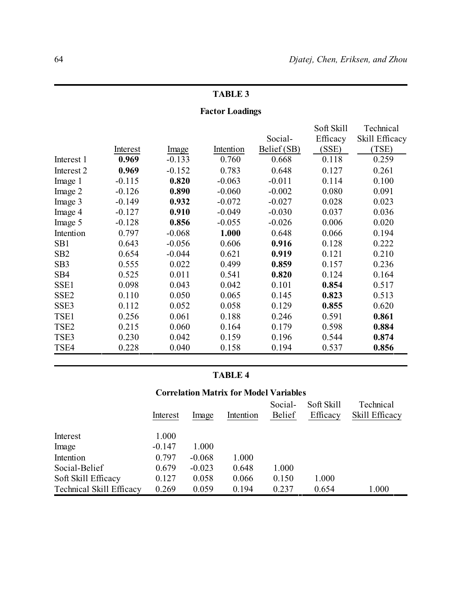# **TABLE 3**

# **Factor Loadings**

|                  |          |          |           |             | Soft Skill | Technical      |
|------------------|----------|----------|-----------|-------------|------------|----------------|
|                  |          |          |           | Social-     | Efficacy   | Skill Efficacy |
|                  | Interest | Image    | Intention | Belief (SB) | (SSE)      | (TSE)          |
| Interest 1       | 0.969    | $-0.133$ | 0.760     | 0.668       | 0.118      | 0.259          |
| Interest 2       | 0.969    | $-0.152$ | 0.783     | 0.648       | 0.127      | 0.261          |
| Image 1          | $-0.115$ | 0.820    | $-0.063$  | $-0.011$    | 0.114      | 0.100          |
| Image 2          | $-0.126$ | 0.890    | $-0.060$  | $-0.002$    | 0.080      | 0.091          |
| Image 3          | $-0.149$ | 0.932    | $-0.072$  | $-0.027$    | 0.028      | 0.023          |
| Image 4          | $-0.127$ | 0.910    | $-0.049$  | $-0.030$    | 0.037      | 0.036          |
| Image 5          | $-0.128$ | 0.856    | $-0.055$  | $-0.026$    | 0.006      | 0.020          |
| Intention        | 0.797    | $-0.068$ | 1.000     | 0.648       | 0.066      | 0.194          |
| SB <sub>1</sub>  | 0.643    | $-0.056$ | 0.606     | 0.916       | 0.128      | 0.222          |
| SB <sub>2</sub>  | 0.654    | $-0.044$ | 0.621     | 0.919       | 0.121      | 0.210          |
| SB <sub>3</sub>  | 0.555    | 0.022    | 0.499     | 0.859       | 0.157      | 0.236          |
| SB4              | 0.525    | 0.011    | 0.541     | 0.820       | 0.124      | 0.164          |
| SSE1             | 0.098    | 0.043    | 0.042     | 0.101       | 0.854      | 0.517          |
| SSE <sub>2</sub> | 0.110    | 0.050    | 0.065     | 0.145       | 0.823      | 0.513          |
| SSE3             | 0.112    | 0.052    | 0.058     | 0.129       | 0.855      | 0.620          |
| TSE1             | 0.256    | 0.061    | 0.188     | 0.246       | 0.591      | 0.861          |
| TSE <sub>2</sub> | 0.215    | 0.060    | 0.164     | 0.179       | 0.598      | 0.884          |
| TSE3             | 0.230    | 0.042    | 0.159     | 0.196       | 0.544      | 0.874          |
| TSE4             | 0.228    | 0.040    | 0.158     | 0.194       | 0.537      | 0.856          |

# **TABLE 4**

# **Correlation Matrix for Model Variables**

|                          | Interest | Image    | Intention | Social-<br><b>Belief</b> | Soft Skill<br>Efficacy | Technical<br>Skill Efficacy |
|--------------------------|----------|----------|-----------|--------------------------|------------------------|-----------------------------|
| Interest                 | 1.000    |          |           |                          |                        |                             |
| Image                    | $-0.147$ | 1.000    |           |                          |                        |                             |
| Intention                | 0.797    | $-0.068$ | 1.000     |                          |                        |                             |
| Social-Belief            | 0.679    | $-0.023$ | 0.648     | 1.000                    |                        |                             |
| Soft Skill Efficacy      | 0.127    | 0.058    | 0.066     | 0.150                    | 1.000                  |                             |
| Technical Skill Efficacy | 0.269    | 0.059    | 0.194     | 0.237                    | 0.654                  | 1.000                       |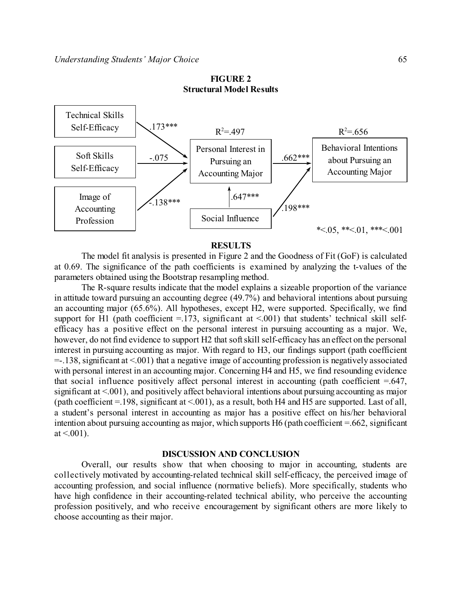# **FIGURE 2 Structural Model Results**



#### **RESULTS**

The model fit analysis is presented in Figure 2 and the Goodness of Fit (GoF) is calculated at 0.69. The significance of the path coefficients is examined by analyzing the t-values of the parameters obtained using the Bootstrap resampling method.

The R-square results indicate that the model explains a sizeable proportion of the variance in attitude toward pursuing an accounting degree (49.7%) and behavioral intentions about pursuing an accounting major (65.6%). All hypotheses, except H2, were supported. Specifically, we find support for H1 (path coefficient  $=$  173, significant at  $\leq$  001) that students' technical skill selfefficacy has a positive effect on the personal interest in pursuing accounting as a major. We, however, do not find evidence to support H2 that soft skill self-efficacy has an effect on the personal interest in pursuing accounting as major. With regard to H3, our findings support (path coefficient =-.138, significant at <.001) that a negative image of accounting profession is negatively associated with personal interest in an accounting major. Concerning H4 and H5, we find resounding evidence that social influence positively affect personal interest in accounting (path coefficient  $=0.647$ , significant at <.001), and positively affect behavioral intentions about pursuing accounting as major (path coefficient =.198, significant at <.001), as a result, both H4 and H5 are supported. Last of all, a student's personal interest in accounting as major has a positive effect on his/her behavioral intention about pursuing accounting as major, which supports H6 (path coefficient =.662, significant at  $\leq 0.001$ ).

#### **DISCUSSION AND CONCLUSION**

Overall, our results show that when choosing to major in accounting, students are collectively motivated by accounting-related technical skill self-efficacy, the perceived image of accounting profession, and social influence (normative beliefs). More specifically, students who have high confidence in their accounting-related technical ability, who perceive the accounting profession positively, and who receive encouragement by significant others are more likely to choose accounting as their major.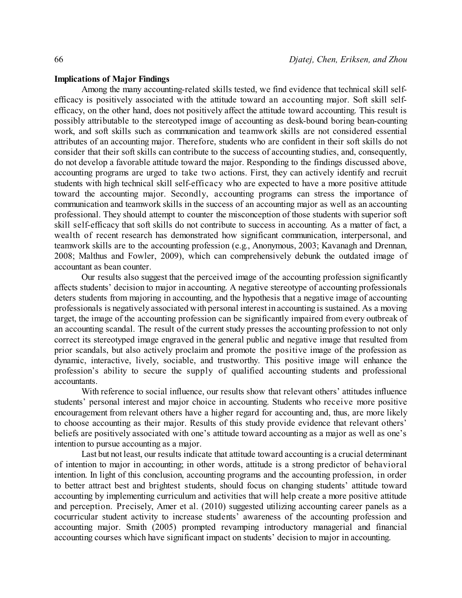#### **Implications of Major Findings**

Among the many accounting-related skills tested, we find evidence that technical skill selfefficacy is positively associated with the attitude toward an accounting major. Soft skill selfefficacy, on the other hand, does not positively affect the attitude toward accounting. This result is possibly attributable to the stereotyped image of accounting as desk-bound boring bean-counting work, and soft skills such as communication and teamwork skills are not considered essential attributes of an accounting major. Therefore, students who are confident in their soft skills do not consider that their soft skills can contribute to the success of accounting studies, and, consequently, do not develop a favorable attitude toward the major. Responding to the findings discussed above, accounting programs are urged to take two actions. First, they can actively identify and recruit students with high technical skill self-efficacy who are expected to have a more positive attitude toward the accounting major. Secondly, accounting programs can stress the importance of communication and teamwork skills in the success of an accounting major as well as an accounting professional. They should attempt to counter the misconception of those students with superior soft skill self-efficacy that soft skills do not contribute to success in accounting. As a matter of fact, a wealth of recent research has demonstrated how significant communication, interpersonal, and teamwork skills are to the accounting profession (e.g., Anonymous, 2003; Kavanagh and Drennan, 2008; Malthus and Fowler, 2009), which can comprehensively debunk the outdated image of accountant as bean counter.

Our results also suggest that the perceived image of the accounting profession significantly affects students' decision to major in accounting. A negative stereotype of accounting professionals deters students from majoring in accounting, and the hypothesis that a negative image of accounting professionals is negatively associated with personal interest in accounting is sustained. As a moving target, the image of the accounting profession can be significantly impaired from every outbreak of an accounting scandal. The result of the current study presses the accounting profession to not only correct its stereotyped image engraved in the general public and negative image that resulted from prior scandals, but also actively proclaim and promote the positive image of the profession as dynamic, interactive, lively, sociable, and trustworthy. This positive image will enhance the profession's ability to secure the supply of qualified accounting students and professional accountants.

With reference to social influence, our results show that relevant others' attitudes influence students' personal interest and major choice in accounting. Students who receive more positive encouragement from relevant others have a higher regard for accounting and, thus, are more likely to choose accounting as their major. Results of this study provide evidence that relevant others' beliefs are positively associated with one's attitude toward accounting as a major as well as one's intention to pursue accounting as a major.

Last but not least, our results indicate that attitude toward accounting is a crucial determinant of intention to major in accounting; in other words, attitude is a strong predictor of behavioral intention. In light of this conclusion, accounting programs and the accounting profession, in order to better attract best and brightest students, should focus on changing students' attitude toward accounting by implementing curriculum and activities that will help create a more positive attitude and perception. Precisely, Amer et al. (2010) suggested utilizing accounting career panels as a cocurricular student activity to increase students' awareness of the accounting profession and accounting major. Smith (2005) prompted revamping introductory managerial and financial accounting courses which have significant impact on students' decision to major in accounting.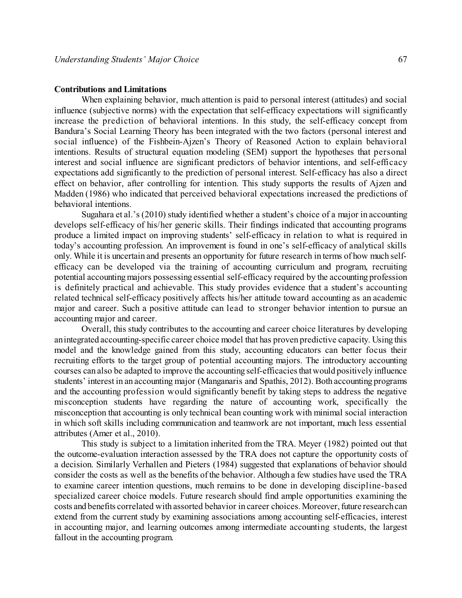#### **Contributions and Limitations**

When explaining behavior, much attention is paid to personal interest (attitudes) and social influence (subjective norms) with the expectation that self-efficacy expectations will significantly increase the prediction of behavioral intentions. In this study, the self-efficacy concept from Bandura's Social Learning Theory has been integrated with the two factors (personal interest and social influence) of the Fishbein-Ajzen's Theory of Reasoned Action to explain behavioral intentions. Results of structural equation modeling (SEM) support the hypotheses that personal interest and social influence are significant predictors of behavior intentions, and self-efficacy expectations add significantly to the prediction of personal interest. Self-efficacy has also a direct effect on behavior, after controlling for intention. This study supports the results of Ajzen and Madden (1986) who indicated that perceived behavioral expectations increased the predictions of behavioral intentions.

Sugahara et al.'s (2010) study identified whether a student's choice of a major in accounting develops self-efficacy of his/her generic skills. Their findings indicated that accounting programs produce a limited impact on improving students' self-efficacy in relation to what is required in today's accounting profession. An improvement is found in one's self-efficacy of analytical skills only. While it is uncertain and presents an opportunity for future research in terms of how much selfefficacy can be developed via the training of accounting curriculum and program, recruiting potential accountingmajors possessing essential self-efficacy required by the accounting profession is definitely practical and achievable. This study provides evidence that a student's accounting related technical self-efficacy positively affects his/her attitude toward accounting as an academic major and career. Such a positive attitude can lead to stronger behavior intention to pursue an accounting major and career.

Overall, this study contributes to the accounting and career choice literatures by developing anintegrated accounting-specific career choice model that has proven predictive capacity. Using this model and the knowledge gained from this study, accounting educators can better focus their recruiting efforts to the target group of potential accounting majors. The introductory accounting courses can also be adapted to improve the accounting self-efficacies that would positively influence students' interest in an accounting major (Manganaris and Spathis, 2012). Both accounting programs and the accounting profession would significantly benefit by taking steps to address the negative misconception students have regarding the nature of accounting work, specifically the misconception that accounting is only technical bean counting work with minimal social interaction in which soft skills including communication and teamwork are not important, much less essential attributes (Amer et al., 2010).

This study is subject to a limitation inherited from the TRA. Meyer (1982) pointed out that the outcome-evaluation interaction assessed by the TRA does not capture the opportunity costs of a decision. Similarly Verhallen and Pieters (1984) suggested that explanations of behavior should consider the costs as well as the benefits of the behavior. Although a few studies have used the TRA to examine career intention questions, much remains to be done in developing discipline-based specialized career choice models. Future research should find ample opportunities examining the costs and benefits correlated with assorted behavior in career choices. Moreover, future researchcan extend from the current study by examining associations among accounting self-efficacies, interest in accounting major, and learning outcomes among intermediate accounting students, the largest fallout in the accounting program.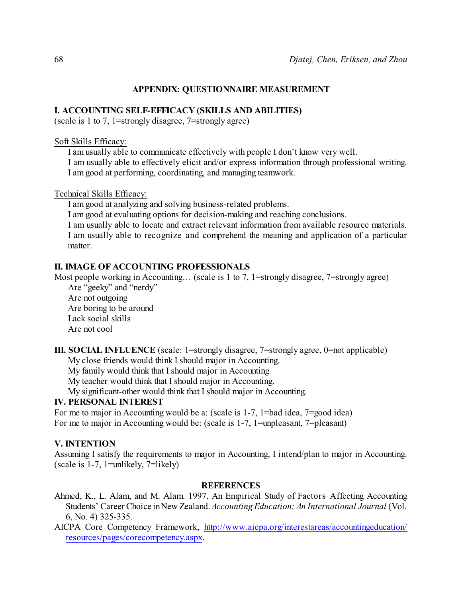# **APPENDIX: QUESTIONNAIRE MEASUREMENT**

### **I. ACCOUNTING SELF-EFFICACY (SKILLS AND ABILITIES)**

(scale is 1 to 7, 1=strongly disagree, 7=strongly agree)

#### Soft Skills Efficacy:

I am usually able to communicate effectively with people I don't know very well.

I am usually able to effectively elicit and/or express information through professional writing. I am good at performing, coordinating, and managing teamwork.

Technical Skills Efficacy:

I am good at analyzing and solving business-related problems.

I am good at evaluating options for decision-making and reaching conclusions.

I am usually able to locate and extract relevant information from available resource materials. I am usually able to recognize and comprehend the meaning and application of a particular matter.

# **II. IMAGE OF ACCOUNTING PROFESSIONALS**

Most people working in Accounting... (scale is 1 to 7, 1 = strongly disagree, 7 = strongly agree)

Are "geeky" and "nerdy" Are not outgoing Are boring to be around Lack social skills Are not cool

**III. SOCIAL INFLUENCE** (scale: 1=strongly disagree, 7=strongly agree, 0=not applicable)

My close friends would think I should major in Accounting.

My family would think that I should major in Accounting.

My teacher would think that I should major in Accounting.

My significant-other would think that I should major in Accounting.

# **IV. PERSONAL INTEREST**

For me to major in Accounting would be a: (scale is 1-7, 1=bad idea, 7=good idea) For me to major in Accounting would be: (scale is 1-7, 1=unpleasant, 7=pleasant)

# **V. INTENTION**

Assuming I satisfy the requirements to major in Accounting, I intend/plan to major in Accounting. (scale is 1-7, 1=unlikely, 7=likely)

#### **REFERENCES**

- Ahmed, K., L. Alam, and M. Alam. 1997. An Empirical Study of Factors Affecting Accounting Students' Career Choice inNew Zealand. *Accounting Education: An International Journal* (Vol. 6, No. 4) 325-335.
- AICPA Core Competency Framework, [http://www.aicpa.org/interestareas/accountingeducation/](http://www.aicpa.org/interestareas/accountingeducation/resources/pages/corecompetency.aspx) [resources/pages/corecompetency.aspx](http://www.aicpa.org/interestareas/accountingeducation/resources/pages/corecompetency.aspx).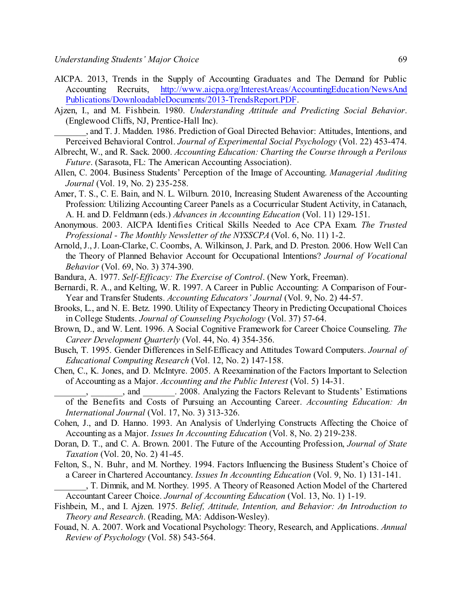- AICPA. 2013, Trends in the Supply of Accounting Graduates and The Demand for Public Accounting Recruits, [http://www.aicpa.org/InterestAreas/AccountingEducation/NewsAnd](http://www.aicpa.org/InterestAreas/AccountingEducation/NewsAndPublications/DownloadableDocuments/2013-TrendsReport.PDF) [Publications/DownloadableDocuments/2013-TrendsReport.PDF](http://www.aicpa.org/InterestAreas/AccountingEducation/NewsAndPublications/DownloadableDocuments/2013-TrendsReport.PDF).
- Ajzen, I., and M. Fishbein. 1980. *Understanding Attitude and Predicting Social Behavior*. (Englewood Cliffs, NJ, Prentice-Hall Inc).
	- \_\_\_\_\_\_\_, and T. J. Madden. 1986. Prediction of Goal Directed Behavior: Attitudes, Intentions, and Perceived Behavioral Control. *Journal of Experimental Social Psychology* (Vol. 22) 453-474.
- Albrecht, W., and R. Sack. 2000. *Accounting Education: Charting the Course through a Perilous Future*. (Sarasota, FL: The American Accounting Association).
- Allen, C. 2004. Business Students' Perception of the Image of Accounting. *Managerial Auditing Journal* (Vol. 19, No. 2) 235-258.
- Amer, T. S., C. E. Bain, and N. L. Wilburn. 2010, Increasing Student Awareness of the Accounting Profession: Utilizing Accounting Career Panels as a Cocurricular Student Activity, in Catanach, A. H. and D. Feldmann (eds.) *Advances in Accounting Education* (Vol. 11) 129-151.
- Anonymous. 2003. AICPA Identifies Critical Skills Needed to Ace CPA Exam. *The Trusted Professional - The Monthly Newsletter of the NYSSCPA* (Vol. 6, No. 11) 1-2.
- Arnold, J., J. Loan-Clarke, C. Coombs, A. Wilkinson, J. Park, and D. Preston. 2006. How Well Can the Theory of Planned Behavior Account for Occupational Intentions? *Journal of Vocational Behavior* (Vol. 69, No. 3) 374-390.
- Bandura, A. 1977. *Self-Efficacy: The Exercise of Control*. (New York, Freeman).
- Bernardi, R. A., and Kelting, W. R. 1997. A Career in Public Accounting: A Comparison of Four-Year and Transfer Students. *Accounting Educators' Journal* (Vol. 9, No. 2) 44-57.
- Brooks, L., and N. E. Betz. 1990. Utility of Expectancy Theory in Predicting Occupational Choices in College Students. *Journal of Counseling Psychology* (Vol. 37) 57-64.
- Brown, D., and W. Lent. 1996. A Social Cognitive Framework for Career Choice Counseling. *The Career Development Quarterly* (Vol. 44, No. 4) 354-356.
- Busch, T. 1995. Gender Differences in Self-Efficacy and Attitudes Toward Computers. *Journal of Educational Computing Research* (Vol. 12, No. 2) 147-158.
- Chen, C., K. Jones, and D. McIntyre. 2005. A Reexamination of the Factors Important to Selection of Accounting as a Major. *Accounting and the Public Interest* (Vol. 5) 14-31.
- \_\_\_\_\_\_\_, \_\_\_\_\_\_\_, and \_\_\_\_\_\_\_. 2008. Analyzing the Factors Relevant to Students' Estimations of the Benefits and Costs of Pursuing an Accounting Career. *Accounting Education: An International Journal* (Vol. 17, No. 3) 313-326.
- Cohen, J., and D. Hanno. 1993. An Analysis of Underlying Constructs Affecting the Choice of Accounting as a Major. *Issues In Accounting Education* (Vol. 8, No. 2) 219-238.
- Doran, D. T., and C. A. Brown. 2001. The Future of the Accounting Profession, *Journal of State Taxation* (Vol. 20, No. 2) 41-45.
- Felton, S., N. Buhr, and M. Northey. 1994. Factors Influencing the Business Student's Choice of a Career in Chartered Accountancy. *Issues In Accounting Education* (Vol. 9, No. 1) 131-141.
	- \_\_\_\_\_\_\_, T. Dimnik, and M. Northey. 1995. A Theory of Reasoned Action Model of the Chartered Accountant Career Choice. *Journal of Accounting Education* (Vol. 13, No. 1) 1-19.
- Fishbein, M., and I. Ajzen. 1975. *Belief, Attitude, Intention, and Behavior: An Introduction to Theory and Research*. (Reading, MA: Addison-Wesley).
- Fouad, N. A. 2007. Work and Vocational Psychology: Theory, Research, and Applications. *Annual Review of Psychology* (Vol. 58) 543-564.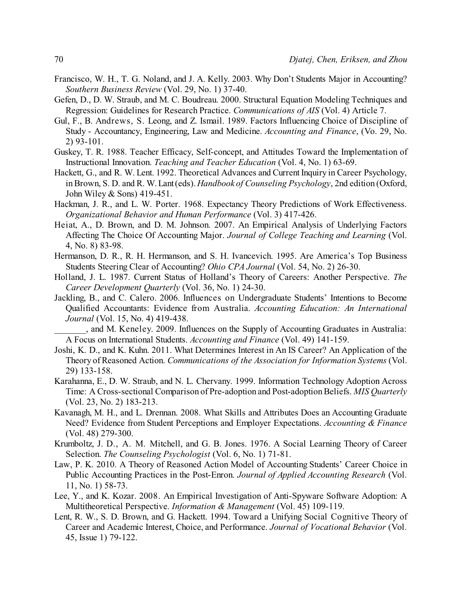- Francisco, W. H., T. G. Noland, and J. A. Kelly. 2003. Why Don't Students Major in Accounting? *Southern Business Review* (Vol. 29, No. 1) 37-40.
- Gefen, D., D. W. Straub, and M. C. Boudreau. 2000. Structural Equation Modeling Techniques and Regression: Guidelines for Research Practice. *Communications of AIS* (Vol. 4) Article 7.
- Gul, F., B. Andrews, S. Leong, and Z. Ismail. 1989. Factors Influencing Choice of Discipline of Study - Accountancy, Engineering, Law and Medicine. *Accounting and Finance*, (Vo. 29, No. 2) 93-101.
- Guskey, T. R. 1988. Teacher Efficacy, Self-concept, and Attitudes Toward the Implementation of Instructional Innovation. *Teaching and Teacher Education* (Vol. 4, No. 1) 63-69.
- Hackett, G., and R. W. Lent. 1992. Theoretical Advances and Current Inquiry in Career Psychology, inBrown, S. D. and R. W. Lant(eds). *Handbook of Counseling Psychology*, 2nd edition (Oxford, John Wiley & Sons) 419-451.
- Hackman, J. R., and L. W. Porter. 1968. Expectancy Theory Predictions of Work Effectiveness. *Organizational Behavior and Human Performance* (Vol. 3) 417-426.
- Heiat, A., D. Brown, and D. M. Johnson. 2007. An Empirical Analysis of Underlying Factors Affecting The Choice Of Accounting Major. *Journal of College Teaching and Learning* (Vol. 4, No. 8) 83-98.
- Hermanson, D. R., R. H. Hermanson, and S. H. Ivancevich. 1995. Are America's Top Business Students Steering Clear of Accounting? *Ohio CPA Journal* (Vol. 54, No. 2) 26-30.
- Holland, J. L. 1987. Current Status of Holland's Theory of Careers: Another Perspective. *The Career Development Quarterly* (Vol. 36, No. 1) 24-30.
- Jackling, B., and C. Calero. 2006. Influences on Undergraduate Students' Intentions to Become Qualified Accountants: Evidence from Australia. *Accounting Education: An International Journal* (Vol. 15, No. 4) 419-438.
	- \_\_\_\_\_\_\_, and M. Keneley. 2009. Influences on the Supply of Accounting Graduates in Australia: A Focus on International Students. *Accounting and Finance* (Vol. 49) 141-159.
- Joshi, K. D., and K. Kuhn. 2011. What Determines Interest in An IS Career? An Application of the Theory of Reasoned Action. *Communications of the Association for Information Systems* (Vol. 29) 133-158.
- Karahanna, E., D. W. Straub, and N. L. Chervany. 1999. Information Technology Adoption Across Time: A Cross-sectional Comparison of Pre-adoption and Post-adoption Beliefs. *MIS Quarterly* (Vol. 23, No. 2) 183-213.
- Kavanagh, M. H., and L. Drennan. 2008. What Skills and Attributes Does an Accounting Graduate Need? Evidence from Student Perceptions and Employer Expectations. *Accounting & Finance* (Vol. 48) 279-300.
- Krumboltz, J. D., A. M. Mitchell, and G. B. Jones. 1976. A Social Learning Theory of Career Selection. *The Counseling Psychologist* (Vol. 6, No. 1) 71-81.
- Law, P. K. 2010. A Theory of Reasoned Action Model of Accounting Students' Career Choice in Public Accounting Practices in the Post-Enron. *Journal of Applied Accounting Research* (Vol. 11, No. 1) 58-73.
- Lee, Y., and K. Kozar. 2008. An Empirical Investigation of Anti-Spyware Software Adoption: A Multitheoretical Perspective. *Information & Management* (Vol. 45) 109-119.
- Lent, R. W., S. D. Brown, and G. Hackett. 1994. Toward a Unifying Social Cognitive Theory of Career and Academic Interest, Choice, and Performance. *Journal of Vocational Behavior* (Vol. 45, Issue 1) 79-122.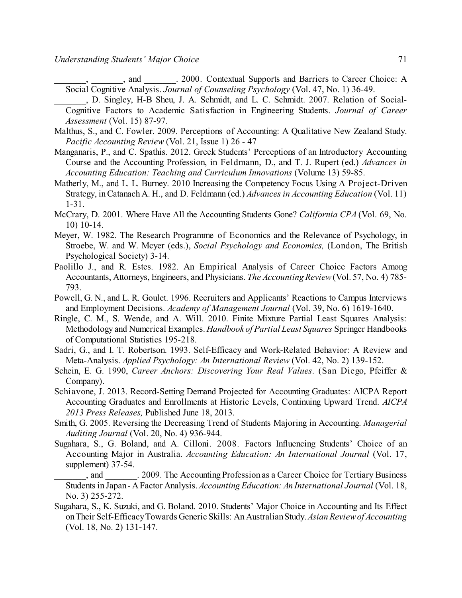\_\_\_\_\_\_\_, \_\_\_\_\_\_\_, and \_\_\_\_\_\_\_. 2000. Contextual Supports and Barriers to Career Choice: A Social Cognitive Analysis. *Journal of Counseling Psychology* (Vol. 47, No. 1) 36-49.

- \_\_\_\_\_\_\_, D. Singley, H-B Sheu, J. A. Schmidt, and L. C. Schmidt. 2007. Relation of Social-Cognitive Factors to Academic Satisfaction in Engineering Students. *Journal of Career Assessment* (Vol. 15) 87-97.
- Malthus, S., and C. Fowler. 2009. Perceptions of Accounting: A Qualitative New Zealand Study. *Pacific Accounting Review* (Vol. 21, Issue 1) 26 - 47
- Manganaris, P., and C. Spathis. 2012. Greek Students' Perceptions of an Introductory Accounting Course and the Accounting Profession, in Feldmann, D., and T. J. Rupert (ed.) *Advances in Accounting Education: Teaching and Curriculum Innovations* (Volume 13) 59-85.
- Matherly, M., and L. L. Burney. 2010 Increasing the Competency Focus Using A Project-Driven Strategy, inCatanach A. H., and D. Feldmann (ed.) *Advances in Accounting Education* (Vol. 11) 1-31.
- McCrary, D. 2001. Where Have All the Accounting Students Gone? *California CPA* (Vol. 69, No. 10) 10-14.
- Meyer, W. 1982. The Research Programme of Economics and the Relevance of Psychology, in Stroebe, W. and W. Mcyer (eds.), *Social Psychology and Economics,* (London, The British Psychological Society) 3-14.
- Paolillo J., and R. Estes. 1982. An Empirical Analysis of Career Choice Factors Among Accountants, Attorneys, Engineers, and Physicians. *The Accounting Review*(Vol. 57, No. 4) 785- 793.
- Powell, G. N., and L. R. Goulet. 1996. Recruiters and Applicants' Reactions to Campus Interviews and Employment Decisions. *Academy of Management Journal* (Vol. 39, No. 6) 1619-1640.
- Ringle, C. M., S. Wende, and A. Will. 2010. Finite Mixture Partial Least Squares Analysis: Methodology and Numerical Examples. *Handbook of Partial Least Squares* Springer Handbooks of Computational Statistics 195-218.
- Sadri, G., and I. T. Robertson. 1993. Self-Efficacy and Work-Related Behavior: A Review and Meta-Analysis. *Applied Psychology: An International Review* (Vol. 42, No. 2) 139-152.
- Schein, E. G. 1990, *Career Anchors: Discovering Your Real Values*. (San Diego, Pfeiffer & Company).
- Schiavone, J. 2013. Record-Setting Demand Projected for Accounting Graduates: AICPA Report Accounting Graduates and Enrollments at Historic Levels, Continuing Upward Trend. *AICPA 2013 Press Releases,* Published June 18, 2013.
- Smith, G. 2005. Reversing the Decreasing Trend of Students Majoring in Accounting. *Managerial Auditing Journal* (Vol. 20, No. 4) 936-944.
- Sugahara, S., G. Boland, and A. Cilloni. 2008. Factors Influencing Students' Choice of an Accounting Major in Australia. *Accounting Education: An International Journal* (Vol. 17, supplement) 37-54.
- \_\_\_\_\_\_\_, and \_\_\_\_\_\_\_. 2009. The Accounting Profession as a Career Choice for Tertiary Business Students in Japan- AFactor Analysis. *Accounting Education: An International Journal* (Vol. 18, No. 3) 255-272.
- Sugahara, S., K. Suzuki, and G. Boland. 2010. Students' Major Choice in Accounting and Its Effect onTheir Self-EfficacyTowards Generic Skills: An AustralianStudy. *Asian Reviewof Accounting* (Vol. 18, No. 2) 131-147.